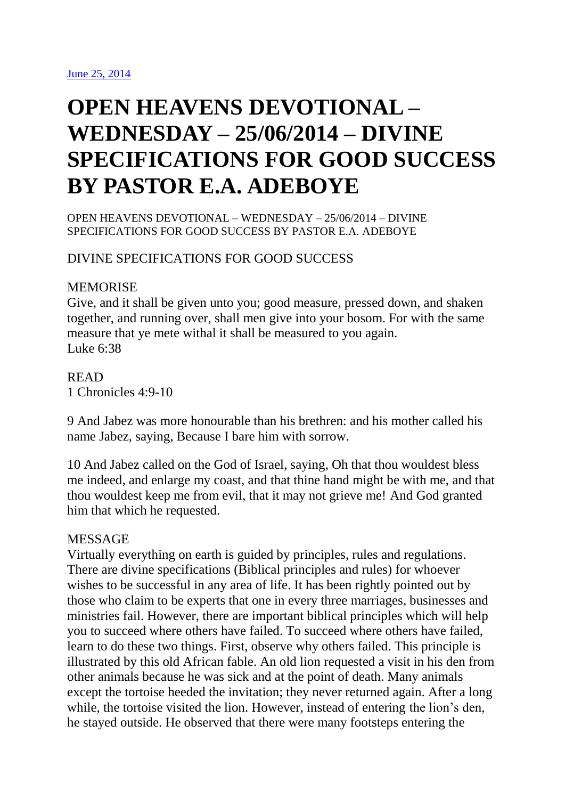# **OPEN HEAVENS DEVOTIONAL – WEDNESDAY – 25/06/2014 – DIVINE SPECIFICATIONS FOR GOOD SUCCESS BY PASTOR E.A. ADEBOYE**

OPEN HEAVENS DEVOTIONAL – WEDNESDAY – 25/06/2014 – DIVINE SPECIFICATIONS FOR GOOD SUCCESS BY PASTOR E.A. ADEBOYE

# DIVINE SPECIFICATIONS FOR GOOD SUCCESS

# **MEMORISE**

Give, and it shall be given unto you; good measure, pressed down, and shaken together, and running over, shall men give into your bosom. For with the same measure that ye mete withal it shall be measured to you again. Luke 6:38

# READ 1 Chronicles 4:9-10

9 And Jabez was more honourable than his brethren: and his mother called his name Jabez, saying, Because I bare him with sorrow.

10 And Jabez called on the God of Israel, saying, Oh that thou wouldest bless me indeed, and enlarge my coast, and that thine hand might be with me, and that thou wouldest keep me from evil, that it may not grieve me! And God granted him that which he requested.

# MESSAGE

Virtually everything on earth is guided by principles, rules and regulations. There are divine specifications (Biblical principles and rules) for whoever wishes to be successful in any area of life. It has been rightly pointed out by those who claim to be experts that one in every three marriages, businesses and ministries fail. However, there are important biblical principles which will help you to succeed where others have failed. To succeed where others have failed, learn to do these two things. First, observe why others failed. This principle is illustrated by this old African fable. An old lion requested a visit in his den from other animals because he was sick and at the point of death. Many animals except the tortoise heeded the invitation; they never returned again. After a long while, the tortoise visited the lion. However, instead of entering the lion's den, he stayed outside. He observed that there were many footsteps entering the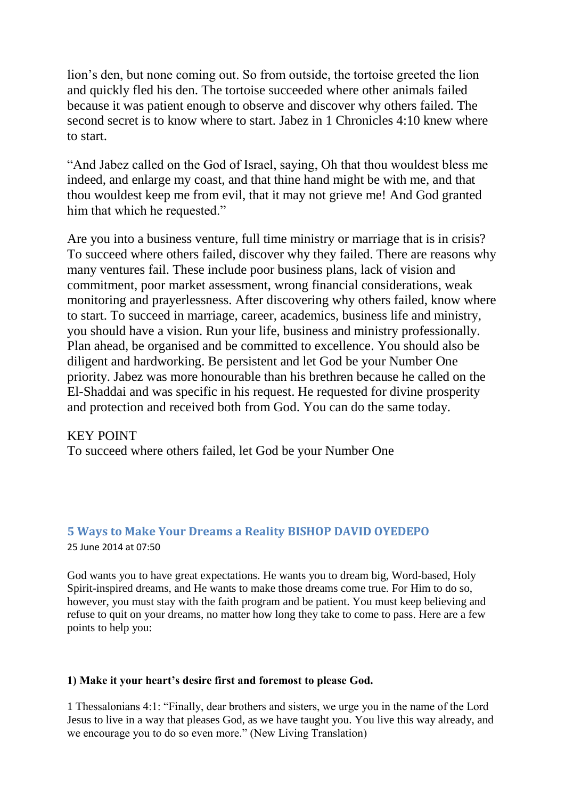lion's den, but none coming out. So from outside, the tortoise greeted the lion and quickly fled his den. The tortoise succeeded where other animals failed because it was patient enough to observe and discover why others failed. The second secret is to know where to start. Jabez in 1 Chronicles 4:10 knew where to start.

"And Jabez called on the God of Israel, saying, Oh that thou wouldest bless me indeed, and enlarge my coast, and that thine hand might be with me, and that thou wouldest keep me from evil, that it may not grieve me! And God granted him that which he requested."

Are you into a business venture, full time ministry or marriage that is in crisis? To succeed where others failed, discover why they failed. There are reasons why many ventures fail. These include poor business plans, lack of vision and commitment, poor market assessment, wrong financial considerations, weak monitoring and prayerlessness. After discovering why others failed, know where to start. To succeed in marriage, career, academics, business life and ministry, you should have a vision. Run your life, business and ministry professionally. Plan ahead, be organised and be committed to excellence. You should also be diligent and hardworking. Be persistent and let God be your Number One priority. Jabez was more honourable than his brethren because he called on the El-Shaddai and was specific in his request. He requested for divine prosperity and protection and received both from God. You can do the same today.

## KEY POINT

To succeed where others failed, let God be your Number One

#### **5 Ways to Make Your Dreams a Reality BISHOP DAVID OYEDEPO** 25 June 2014 at 07:50

God wants you to have great expectations. He wants you to dream big, Word-based, Holy Spirit-inspired dreams, and He wants to make those dreams come true. For Him to do so, however, you must stay with the faith program and be patient. You must keep believing and refuse to quit on your dreams, no matter how long they take to come to pass. Here are a few points to help you:

## **1) Make it your heart's desire first and foremost to please God.**

1 Thessalonians 4:1: "Finally, dear brothers and sisters, we urge you in the name of the Lord Jesus to live in a way that pleases God, as we have taught you. You live this way already, and we encourage you to do so even more." (New Living Translation)